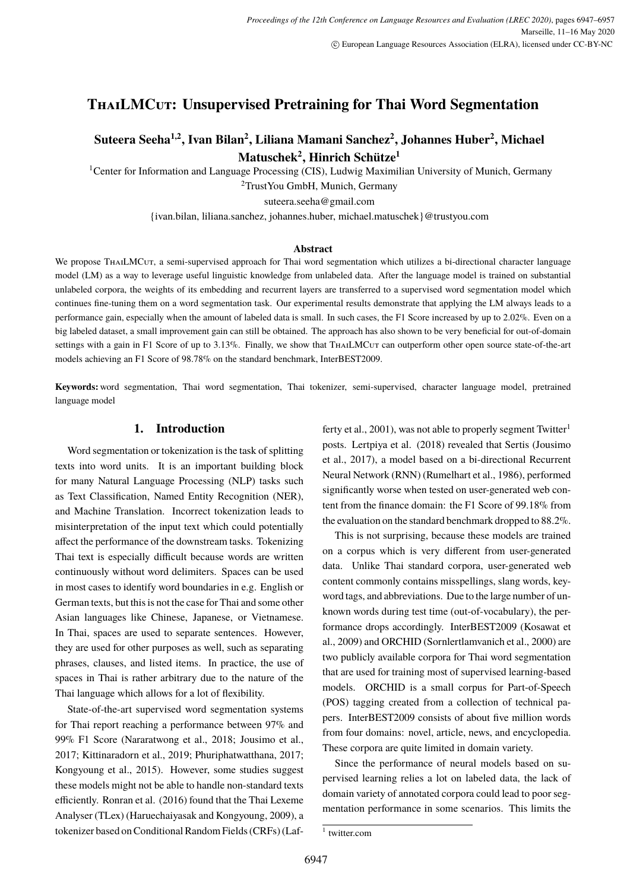# <span id="page-0-0"></span>**ThaiLMCut: Unsupervised Pretraining for Thai Word Segmentation**

# **Suteera Seeha1,2, Ivan Bilan<sup>2</sup> , Liliana Mamani Sanchez<sup>2</sup> , Johannes Huber<sup>2</sup> , Michael Matuschek<sup>2</sup> , Hinrich Schütze<sup>1</sup>**

<sup>1</sup>Center for Information and Language Processing (CIS), Ludwig Maximilian University of Munich, Germany

<sup>2</sup>TrustYou GmbH, Munich, Germany

suteera.seeha@gmail.com

{ivan.bilan, liliana.sanchez, johannes.huber, michael.matuschek}@trustyou.com

### **Abstract**

We propose THAILMCUT, a semi-supervised approach for Thai word segmentation which utilizes a bi-directional character language model (LM) as a way to leverage useful linguistic knowledge from unlabeled data. After the language model is trained on substantial unlabeled corpora, the weights of its embedding and recurrent layers are transferred to a supervised word segmentation model which continues fine-tuning them on a word segmentation task. Our experimental results demonstrate that applying the LM always leads to a performance gain, especially when the amount of labeled data is small. In such cases, the F1 Score increased by up to 2.02%. Even on a big labeled dataset, a small improvement gain can still be obtained. The approach has also shown to be very beneficial for out-of-domain settings with a gain in F1 Score of up to 3.13%. Finally, we show that ThaiLMCur can outperform other open source state-of-the-art models achieving an F1 Score of 98.78% on the standard benchmark, InterBEST2009.

**Keywords:** word segmentation, Thai word segmentation, Thai tokenizer, semi-supervised, character language model, pretrained language model

# **1. Introduction**

Word segmentation or tokenization is the task of splitting texts into word units. It is an important building block for many Natural Language Processing (NLP) tasks such as Text Classification, Named Entity Recognition (NER), and Machine Translation. Incorrect tokenization leads to misinterpretation of the input text which could potentially affect the performance of the downstream tasks. Tokenizing Thai text is especially difficult because words are written continuously without word delimiters. Spaces can be used in most cases to identify word boundaries in e.g. English or German texts, but this is not the case for Thai and some other Asian languages like Chinese, Japanese, or Vietnamese. In Thai, spaces are used to separate sentences. However, they are used for other purposes as well, such as separating phrases, clauses, and listed items. In practice, the use of spaces in Thai is rather arbitrary due to the nature of the Thai language which allows for a lot of flexibility.

State-of-the-art supervised word segmentation systems for Thai report reaching a performance between 97% and 99% F1 Score (Nararatwong et al., 2018; Jousimo et al., 2017; Kittinaradorn et al., 2019; Phuriphatwatthana, 2017; Kongyoung et al., 2015). However, some studies suggest these models might not be able to handle non-standard texts efficiently. Ronran et al. (2016) found that the Thai Lexeme Analyser (TLex) (Haruechaiyasak and Kongyoung, 2009), a tokenizer based on Conditional Random Fields (CRFs) (Lafferty et al., 2001), was not able to properly segment  $Twitter<sup>1</sup>$ posts. Lertpiya et al. (2018) revealed that Sertis (Jousimo et al., 2017), a model based on a bi-directional Recurrent Neural Network (RNN) (Rumelhart et al., 1986), performed significantly worse when tested on user-generated web content from the finance domain: the F1 Score of 99.18% from the evaluation on the standard benchmark dropped to 88.2%.

This is not surprising, because these models are trained on a corpus which is very different from user-generated data. Unlike Thai standard corpora, user-generated web content commonly contains misspellings, slang words, keyword tags, and abbreviations. Due to the large number of unknown words during test time (out-of-vocabulary), the performance drops accordingly. InterBEST2009 (Kosawat et al., 2009) and ORCHID (Sornlertlamvanich et al., 2000) are two publicly available corpora for Thai word segmentation that are used for training most of supervised learning-based models. ORCHID is a small corpus for Part-of-Speech (POS) tagging created from a collection of technical papers. InterBEST2009 consists of about five million words from four domains: novel, article, news, and encyclopedia. These corpora are quite limited in domain variety.

Since the performance of neural models based on supervised learning relies a lot on labeled data, the lack of domain variety of annotated corpora could lead to poor segmentation performance in some scenarios. This limits the

<sup>1</sup> twitter.com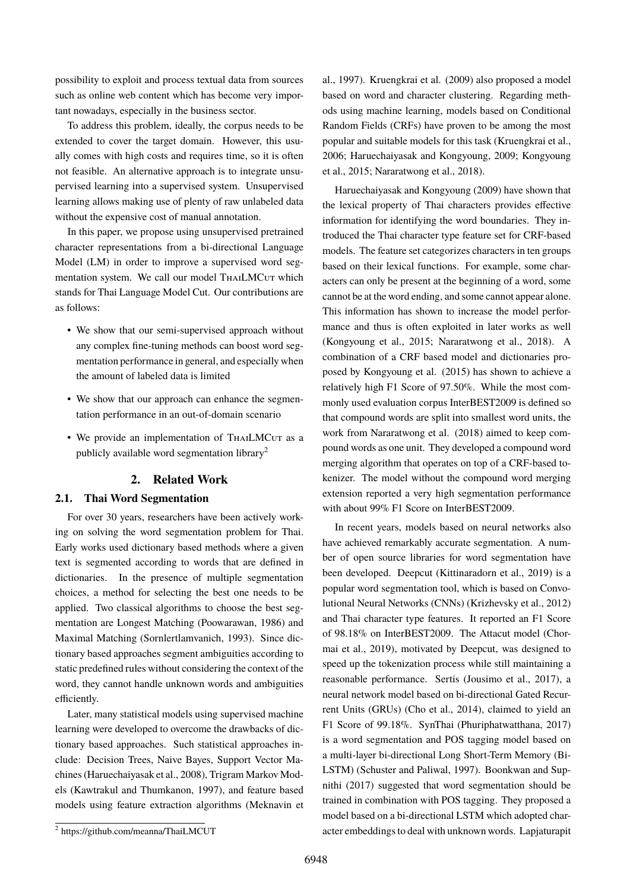possibility to exploit and process textual data from sources such as online web content which has become very important nowadays, especially in the business sector.

To address this problem, ideally, the corpus needs to be extended to cover the target domain. However, this usually comes with high costs and requires time, so it is often not feasible. An alternative approach is to integrate unsupervised learning into a supervised system. Unsupervised learning allows making use of plenty of raw unlabeled data without the expensive cost of manual annotation.

In this paper, we propose using unsupervised pretrained character representations from a bi-directional Language Model (LM) in order to improve a supervised word segmentation system. We call our model THAILMCUT which stands for Thai Language Model Cut. Our contributions are as follows:

- We show that our semi-supervised approach without any complex fine-tuning methods can boost word segmentation performance in general, and especially when the amount of labeled data is limited
- We show that our approach can enhance the segmentation performance in an out-of-domain scenario
- We provide an implementation of THAILMCUT as a publicly available word segmentation library[2](#page-0-0)

# **2. Related Work**

## <span id="page-1-0"></span>**2.1. Thai Word Segmentation**

For over 30 years, researchers have been actively working on solving the word segmentation problem for Thai. Early works used dictionary based methods where a given text is segmented according to words that are defined in dictionaries. In the presence of multiple segmentation choices, a method for selecting the best one needs to be applied. Two classical algorithms to choose the best segmentation are Longest Matching [\(Poowarawan, 1986\)](#page-0-0) and Maximal Matching [\(Sornlertlamvanich, 1993\)](#page-0-0). Since dictionary based approaches segment ambiguities according to static predefined rules without considering the context of the word, they cannot handle unknown words and ambiguities efficiently.

Later, many statistical models using supervised machine learning were developed to overcome the drawbacks of dictionary based approaches. Such statistical approaches include: Decision Trees, Naive Bayes, Support Vector Machines [\(Haruechaiyasak et al., 2008\)](#page-0-0), Trigram Markov Models [\(Kawtrakul and Thumkanon, 1997\)](#page-0-0), and feature based models using feature extraction algorithms [\(Meknavin et](#page-0-0) [al., 1997\)](#page-0-0). [Kruengkrai et al. \(2009\)](#page-0-0) also proposed a model based on word and character clustering. Regarding methods using machine learning, models based on Conditional Random Fields (CRFs) have proven to be among the most popular and suitable models for this task [\(Kruengkrai et al.,](#page-0-0) [2006; Haruechaiyasak and Kongyoung, 2009; Kongyoung](#page-0-0) [et al., 2015; Nararatwong et al., 2018\)](#page-0-0).

[Haruechaiyasak and Kongyoung \(2009\)](#page-0-0) have shown that the lexical property of Thai characters provides effective information for identifying the word boundaries. They introduced the Thai character type feature set for CRF-based models. The feature set categorizes characters in ten groups based on their lexical functions. For example, some characters can only be present at the beginning of a word, some cannot be at the word ending, and some cannot appear alone. This information has shown to increase the model performance and thus is often exploited in later works as well [\(Kongyoung et al., 2015; Nararatwong et al., 2018\)](#page-0-0). A combination of a CRF based model and dictionaries proposed by [Kongyoung et al. \(2015\)](#page-0-0) has shown to achieve a relatively high F1 Score of 97.50%. While the most commonly used evaluation corpus InterBEST2009 is defined so that compound words are split into smallest word units, the work from [Nararatwong et al. \(2018\)](#page-0-0) aimed to keep compound words as one unit. They developed a compound word merging algorithm that operates on top of a CRF-based tokenizer. The model without the compound word merging extension reported a very high segmentation performance with about 99% F1 Score on InterBEST2009.

In recent years, models based on neural networks also have achieved remarkably accurate segmentation. A number of open source libraries for word segmentation have been developed. Deepcut [\(Kittinaradorn et al., 2019\)](#page-0-0) is a popular word segmentation tool, which is based on Convolutional Neural Networks (CNNs) [\(Krizhevsky et al., 2012\)](#page-0-0) and Thai character type features. It reported an F1 Score of 98.18% on InterBEST2009. The Attacut model [\(Chor](#page-0-0)[mai et al., 2019\)](#page-0-0), motivated by Deepcut, was designed to speed up the tokenization process while still maintaining a reasonable performance. Sertis [\(Jousimo et al., 2017\)](#page-0-0), a neural network model based on bi-directional Gated Recurrent Units (GRUs) [\(Cho et al., 2014\)](#page-0-0), claimed to yield an F1 Score of 99.18%. SynThai [\(Phuriphatwatthana, 2017\)](#page-0-0) is a word segmentation and POS tagging model based on a multi-layer bi-directional Long Short-Term Memory (Bi-LSTM) [\(Schuster and Paliwal, 1997\)](#page-0-0). [Boonkwan and Sup](#page-0-0)[nithi \(2017\)](#page-0-0) suggested that word segmentation should be trained in combination with POS tagging. They proposed a model based on a bi-directional LSTM which adopted character embeddings to deal with unknown words. [Lapjaturapit](#page-0-0)

<sup>2</sup> [https://github.com/meanna/ThaiLMCUT](#page-0-0)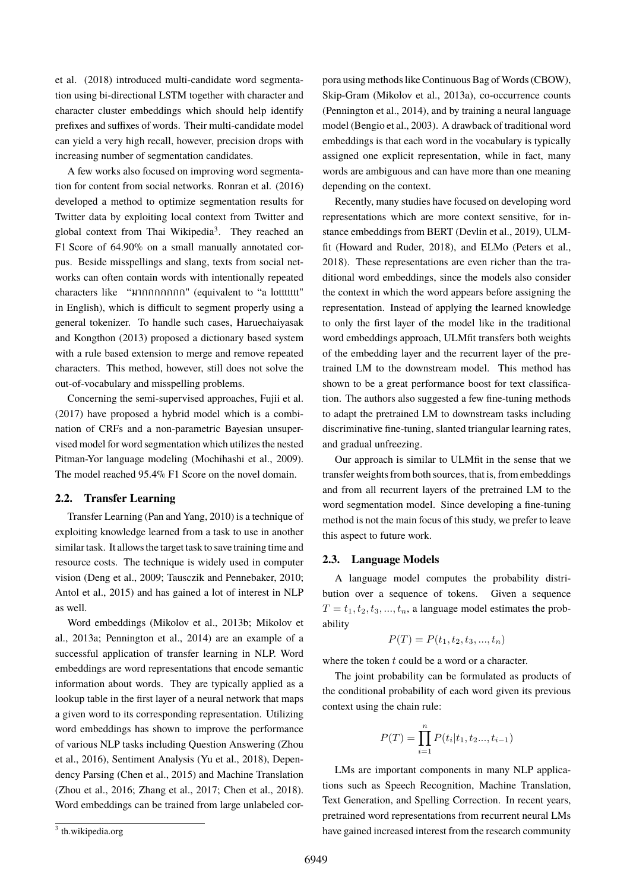[et al. \(2018\)](#page-0-0) introduced multi-candidate word segmentation using bi-directional LSTM together with character and character cluster embeddings which should help identify prefixes and suffixes of words. Their multi-candidate model can yield a very high recall, however, precision drops with increasing number of segmentation candidates.

A few works also focused on improving word segmentation for content from social networks. [Ronran et al. \(2016\)](#page-0-0) developed a method to optimize segmentation results for Twitter data by exploiting local context from Twitter and global context from Thai Wikipedia<sup>[3](#page-0-0)</sup>. They reached an F1 Score of 64.90% on a small manually annotated corpus. Beside misspellings and slang, texts from social networks can often contain words with intentionally repeated characters like "มากกกกกกก" (equivalent to "a lottttttt" in English), which is difficult to segment properly using a general tokenizer. To handle such cases, [Haruechaiyasak](#page-0-0) [and Kongthon \(2013\)](#page-0-0) proposed a dictionary based system with a rule based extension to merge and remove repeated characters. This method, however, still does not solve the out-of-vocabulary and misspelling problems.

Concerning the semi-supervised approaches, [Fujii et al.](#page-0-0) [\(2017\)](#page-0-0) have proposed a hybrid model which is a combination of CRFs and a non-parametric Bayesian unsupervised model for word segmentation which utilizes the nested Pitman-Yor language modeling [\(Mochihashi et al., 2009\)](#page-0-0). The model reached 95.4% F1 Score on the novel domain.

#### **2.2. Transfer Learning**

Transfer Learning [\(Pan and Yang, 2010\)](#page-0-0) is a technique of exploiting knowledge learned from a task to use in another similar task. It allows the target task to save training time and resource costs. The technique is widely used in computer vision [\(Deng et al., 2009; Tausczik and Pennebaker, 2010;](#page-0-0) [Antol et al., 2015\)](#page-0-0) and has gained a lot of interest in NLP as well.

Word embeddings [\(Mikolov et al., 2013b; Mikolov et](#page-0-0) [al., 2013a; Pennington et al., 2014\)](#page-0-0) are an example of a successful application of transfer learning in NLP. Word embeddings are word representations that encode semantic information about words. They are typically applied as a lookup table in the first layer of a neural network that maps a given word to its corresponding representation. Utilizing word embeddings has shown to improve the performance of various NLP tasks including Question Answering [\(Zhou](#page-0-0) [et al., 2016\)](#page-0-0), Sentiment Analysis [\(Yu et al., 2018\)](#page-0-0), Dependency Parsing [\(Chen et al., 2015\)](#page-0-0) and Machine Translation [\(Zhou et al., 2016; Zhang et al., 2017; Chen et al., 2018\)](#page-0-0). Word embeddings can be trained from large unlabeled cor-

Recently, many studies have focused on developing word representations which are more context sensitive, for instance embeddings from BERT [\(Devlin et al., 2019\)](#page-0-0), ULMfit [\(Howard and Ruder, 2018\)](#page-0-0), and ELMo [\(Peters et al.,](#page-0-0) [2018\)](#page-0-0). These representations are even richer than the traditional word embeddings, since the models also consider the context in which the word appears before assigning the representation. Instead of applying the learned knowledge to only the first layer of the model like in the traditional word embeddings approach, ULMfit transfers both weights of the embedding layer and the recurrent layer of the pretrained LM to the downstream model. This method has shown to be a great performance boost for text classification. The authors also suggested a few fine-tuning methods to adapt the pretrained LM to downstream tasks including discriminative fine-tuning, slanted triangular learning rates, and gradual unfreezing.

Our approach is similar to ULMfit in the sense that we transfer weights from both sources, that is, from embeddings and from all recurrent layers of the pretrained LM to the word segmentation model. Since developing a fine-tuning method is not the main focus of this study, we prefer to leave this aspect to future work.

## **2.3. Language Models**

A language model computes the probability distribution over a sequence of tokens. Given a sequence  $T = t_1, t_2, t_3, \dots, t_n$ , a language model estimates the probability

$$
P(T) = P(t_1, t_2, t_3, ..., t_n)
$$

where the token  $t$  could be a word or a character.

The joint probability can be formulated as products of the conditional probability of each word given its previous context using the chain rule:

$$
P(T) = \prod_{i=1}^{n} P(t_i | t_1, t_2..., t_{i-1})
$$

LMs are important components in many NLP applications such as Speech Recognition, Machine Translation, Text Generation, and Spelling Correction. In recent years, pretrained word representations from recurrent neural LMs have gained increased interest from the research community

pora using methods like Continuous Bag of Words (CBOW), Skip-Gram [\(Mikolov et al., 2013a\)](#page-0-0), co-occurrence counts [\(Pennington et al., 2014\)](#page-0-0), and by training a neural language model [\(Bengio et al., 2003\)](#page-0-0). A drawback of traditional word embeddings is that each word in the vocabulary is typically assigned one explicit representation, while in fact, many words are ambiguous and can have more than one meaning depending on the context.

<sup>&</sup>lt;sup>3</sup> th.wikipedia.org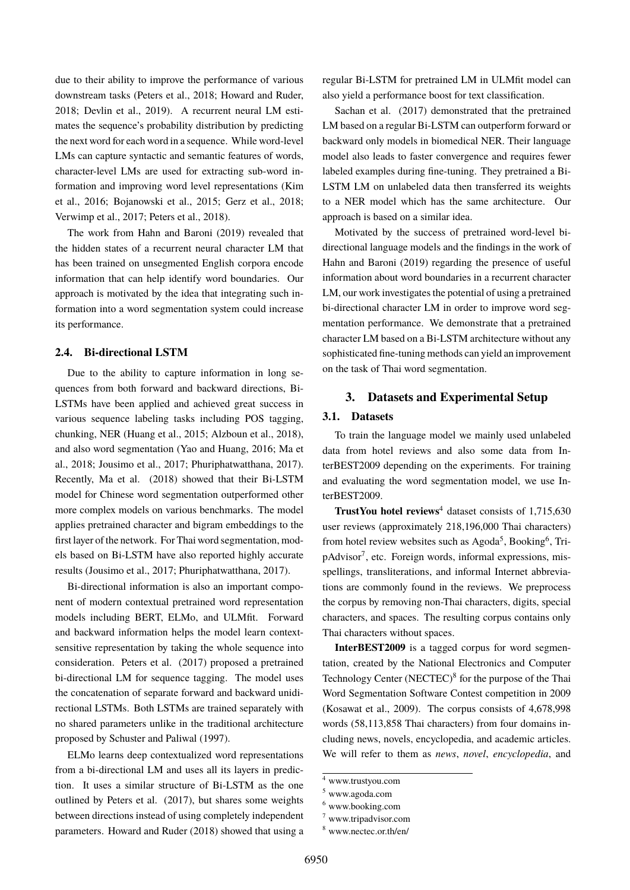due to their ability to improve the performance of various downstream tasks [\(Peters et al., 2018; Howard and Ruder,](#page-0-0) [2018; Devlin et al., 2019\)](#page-0-0). A recurrent neural LM estimates the sequence's probability distribution by predicting the next word for each word in a sequence. While word-level LMs can capture syntactic and semantic features of words, character-level LMs are used for extracting sub-word information and improving word level representations [\(Kim](#page-0-0) [et al., 2016; Bojanowski et al., 2015; Gerz et al., 2018;](#page-0-0) [Verwimp et al., 2017; Peters et al., 2018\)](#page-0-0).

The work from [Hahn and Baroni \(2019\)](#page-0-0) revealed that the hidden states of a recurrent neural character LM that has been trained on unsegmented English corpora encode information that can help identify word boundaries. Our approach is motivated by the idea that integrating such information into a word segmentation system could increase its performance.

# **2.4. Bi-directional LSTM**

Due to the ability to capture information in long sequences from both forward and backward directions, Bi-LSTMs have been applied and achieved great success in various sequence labeling tasks including POS tagging, chunking, NER [\(Huang et al., 2015; Alzboun et al., 2018\)](#page-0-0), and also word segmentation [\(Yao and Huang, 2016; Ma et](#page-0-0) [al., 2018; Jousimo et al., 2017; Phuriphatwatthana, 2017\)](#page-0-0). Recently, [Ma et al. \(2018\)](#page-0-0) showed that their Bi-LSTM model for Chinese word segmentation outperformed other more complex models on various benchmarks. The model applies pretrained character and bigram embeddings to the first layer of the network. For Thai word segmentation, models based on Bi-LSTM have also reported highly accurate results [\(Jousimo et al., 2017; Phuriphatwatthana, 2017\)](#page-0-0).

Bi-directional information is also an important component of modern contextual pretrained word representation models including BERT, ELMo, and ULMfit. Forward and backward information helps the model learn contextsensitive representation by taking the whole sequence into consideration. [Peters et al. \(2017\)](#page-0-0) proposed a pretrained bi-directional LM for sequence tagging. The model uses the concatenation of separate forward and backward unidirectional LSTMs. Both LSTMs are trained separately with no shared parameters unlike in the traditional architecture proposed by [Schuster and Paliwal \(1997\)](#page-0-0).

ELMo learns deep contextualized word representations from a bi-directional LM and uses all its layers in prediction. It uses a similar structure of Bi-LSTM as the one outlined by [Peters et al. \(2017\)](#page-0-0), but shares some weights between directions instead of using completely independent parameters. [Howard and Ruder \(2018\)](#page-0-0) showed that using a regular Bi-LSTM for pretrained LM in ULMfit model can also yield a performance boost for text classification.

[Sachan et al. \(2017\)](#page-0-0) demonstrated that the pretrained LM based on a regular Bi-LSTM can outperform forward or backward only models in biomedical NER. Their language model also leads to faster convergence and requires fewer labeled examples during fine-tuning. They pretrained a Bi-LSTM LM on unlabeled data then transferred its weights to a NER model which has the same architecture. Our approach is based on a similar idea.

Motivated by the success of pretrained word-level bidirectional language models and the findings in the work of [Hahn and Baroni \(2019\)](#page-0-0) regarding the presence of useful information about word boundaries in a recurrent character LM, our work investigates the potential of using a pretrained bi-directional character LM in order to improve word segmentation performance. We demonstrate that a pretrained character LM based on a Bi-LSTM architecture without any sophisticated fine-tuning methods can yield an improvement on the task of Thai word segmentation.

## **3. Datasets and Experimental Setup**

#### **3.1. Datasets**

To train the language model we mainly used unlabeled data from hotel reviews and also some data from InterBEST2009 depending on the experiments. For training and evaluating the word segmentation model, we use InterBEST2009.

**TrustYou hotel reviews**<sup>[4](#page-0-0)</sup> dataset consists of 1,715,630 user reviews (approximately 218,196,000 Thai characters) from hotel review websites such as Agoda<sup>[5](#page-0-0)</sup>, Booking<sup>[6](#page-0-0)</sup>, Tri-pAdvisor<sup>[7](#page-0-0)</sup>, etc. Foreign words, informal expressions, misspellings, transliterations, and informal Internet abbreviations are commonly found in the reviews. We preprocess the corpus by removing non-Thai characters, digits, special characters, and spaces. The resulting corpus contains only Thai characters without spaces.

**InterBEST2009** is a tagged corpus for word segmentation, created by the National Electronics and Computer Technology Center (NECTEC)<sup>[8](#page-0-0)</sup> for the purpose of the Thai Word Segmentation Software Contest competition in 2009 (Kosawat et al., 2009). The corpus consists of 4,678,998 words (58,113,858 Thai characters) from four domains including news, novels, encyclopedia, and academic articles. We will refer to them as *news*, *novel*, *encyclopedia*, and

<sup>4</sup> www.trustyou.com

<sup>5</sup> www.agoda.com

<sup>6</sup> www.booking.com

<sup>7</sup> www.tripadvisor.com

<sup>8</sup> www.nectec.or.th/en/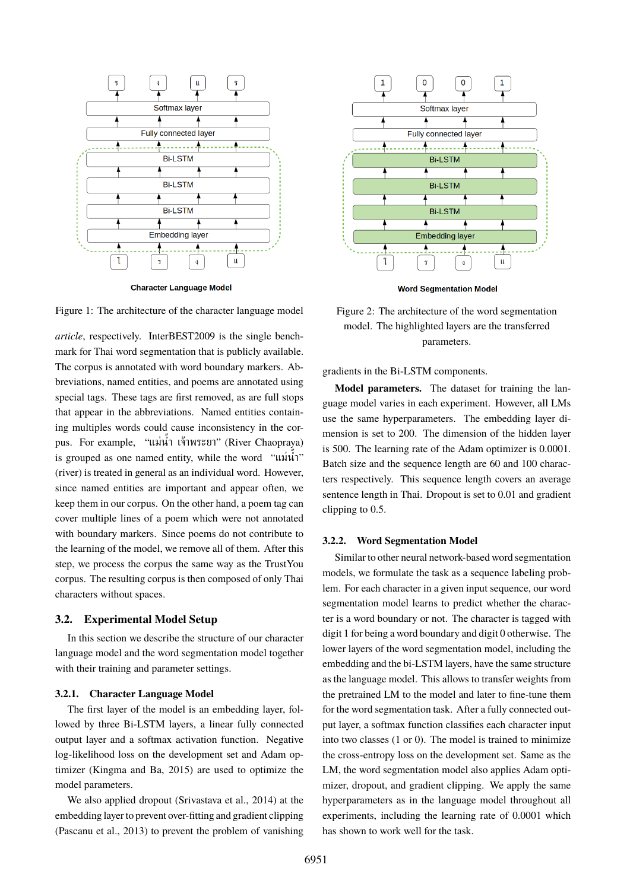

**Character Language Model** 



*article*, respectively. InterBEST2009 is the single benchmark for Thai word segmentation that is publicly available. The corpus is annotated with word boundary markers. Abbreviations, named entities, and poems are annotated using special tags. These tags are first removed, as are full stops that appear in the abbreviations. Named entities containing multiples words could cause inconsistency in the corpus. For example, "แม่น้ำ เจ้าพระยา" (River Chaopraya) is grouped as one named entity, while the word "แม่น้ำ" (river) is treated in general as an individual word. However, since named entities are important and appear often, we keep them in our corpus. On the other hand, a poem tag can cover multiple lines of a poem which were not annotated with boundary markers. Since poems do not contribute to the learning of the model, we remove all of them. After this step, we process the corpus the same way as the TrustYou corpus. The resulting corpus is then composed of only Thai characters without spaces.

#### **3.2. Experimental Model Setup**

In this section we describe the structure of our character language model and the word segmentation model together with their training and parameter settings.

#### **3.2.1. Character Language Model**

The first layer of the model is an embedding layer, followed by three Bi-LSTM layers, a linear fully connected output layer and a softmax activation function. Negative log-likelihood loss on the development set and Adam optimizer [\(Kingma and Ba, 2015\)](#page-0-0) are used to optimize the model parameters.

We also applied dropout [\(Srivastava et al., 2014\)](#page-0-0) at the embedding layer to prevent over-fitting and gradient clipping [\(Pascanu et al., 2013\)](#page-0-0) to prevent the problem of vanishing



Figure 2: The architecture of the word segmentation model. The highlighted layers are the transferred parameters.

gradients in the Bi-LSTM components.

**Model parameters.** The dataset for training the language model varies in each experiment. However, all LMs use the same hyperparameters. The embedding layer dimension is set to 200. The dimension of the hidden layer is 500. The learning rate of the Adam optimizer is 0.0001. Batch size and the sequence length are 60 and 100 characters respectively. This sequence length covers an average sentence length in Thai. Dropout is set to 0.01 and gradient clipping to 0.5.

### **3.2.2. Word Segmentation Model**

Similar to other neural network-based word segmentation models, we formulate the task as a sequence labeling problem. For each character in a given input sequence, our word segmentation model learns to predict whether the character is a word boundary or not. The character is tagged with digit 1 for being a word boundary and digit 0 otherwise. The lower layers of the word segmentation model, including the embedding and the bi-LSTM layers, have the same structure as the language model. This allows to transfer weights from the pretrained LM to the model and later to fine-tune them for the word segmentation task. After a fully connected output layer, a softmax function classifies each character input into two classes (1 or 0). The model is trained to minimize the cross-entropy loss on the development set. Same as the LM, the word segmentation model also applies Adam optimizer, dropout, and gradient clipping. We apply the same hyperparameters as in the language model throughout all experiments, including the learning rate of 0.0001 which has shown to work well for the task.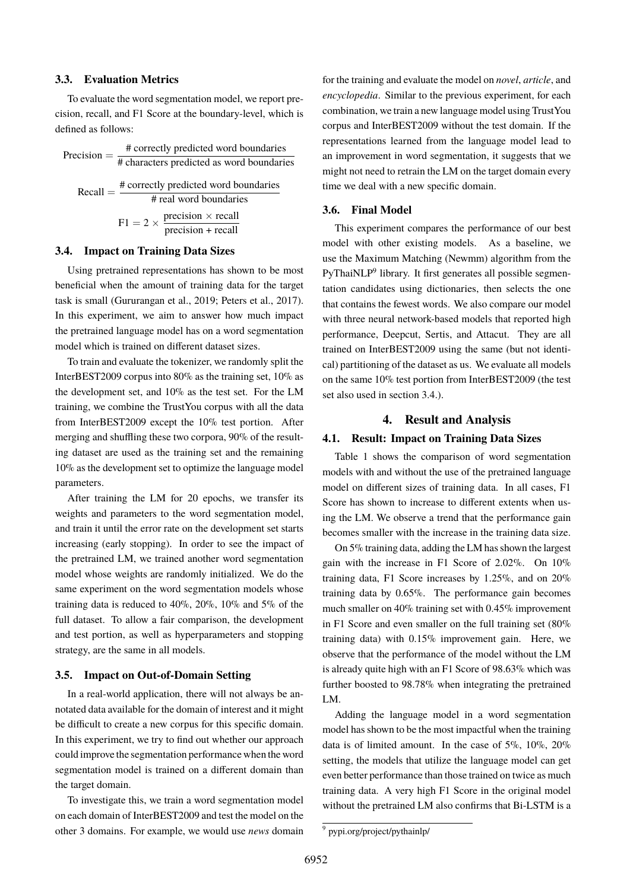## **3.3. Evaluation Metrics**

To evaluate the word segmentation model, we report precision, recall, and F1 Score at the boundary-level, which is defined as follows:

| Precision $=$ - | # correctly predicted word boundaries                              |  |  |  |  |  |
|-----------------|--------------------------------------------------------------------|--|--|--|--|--|
|                 | # characters predicted as word boundaries                          |  |  |  |  |  |
| $Recall = -$    | # correctly predicted word boundaries                              |  |  |  |  |  |
|                 | # real word boundaries                                             |  |  |  |  |  |
|                 |                                                                    |  |  |  |  |  |
|                 | $F1 = 2 \times \frac{precision \times recall}{precision + recall}$ |  |  |  |  |  |

#### <span id="page-5-0"></span>**3.4. Impact on Training Data Sizes**

Using pretrained representations has shown to be most beneficial when the amount of training data for the target task is small [\(Gururangan et al., 2019; Peters et al., 2017\)](#page-0-0). In this experiment, we aim to answer how much impact the pretrained language model has on a word segmentation model which is trained on different dataset sizes.

To train and evaluate the tokenizer, we randomly split the InterBEST2009 corpus into 80% as the training set, 10% as the development set, and 10% as the test set. For the LM training, we combine the TrustYou corpus with all the data from InterBEST2009 except the 10% test portion. After merging and shuffling these two corpora, 90% of the resulting dataset are used as the training set and the remaining 10% as the development set to optimize the language model parameters.

After training the LM for 20 epochs, we transfer its weights and parameters to the word segmentation model, and train it until the error rate on the development set starts increasing (early stopping). In order to see the impact of the pretrained LM, we trained another word segmentation model whose weights are randomly initialized. We do the same experiment on the word segmentation models whose training data is reduced to 40%, 20%, 10% and 5% of the full dataset. To allow a fair comparison, the development and test portion, as well as hyperparameters and stopping strategy, are the same in all models.

### **3.5. Impact on Out-of-Domain Setting**

In a real-world application, there will not always be annotated data available for the domain of interest and it might be difficult to create a new corpus for this specific domain. In this experiment, we try to find out whether our approach could improve the segmentation performance when the word segmentation model is trained on a different domain than the target domain.

To investigate this, we train a word segmentation model on each domain of InterBEST2009 and test the model on the other 3 domains. For example, we would use *news* domain for the training and evaluate the model on *novel*, *article*, and *encyclopedia*. Similar to the previous experiment, for each combination, we train a new language model using TrustYou corpus and InterBEST2009 without the test domain. If the representations learned from the language model lead to an improvement in word segmentation, it suggests that we might not need to retrain the LM on the target domain every time we deal with a new specific domain.

#### **3.6. Final Model**

This experiment compares the performance of our best model with other existing models. As a baseline, we use the Maximum Matching (Newmm) algorithm from the PyThaiNLP<sup>[9](#page-0-0)</sup> library. It first generates all possible segmentation candidates using dictionaries, then selects the one that contains the fewest words. We also compare our model with three neural network-based models that reported high performance, Deepcut, Sertis, and Attacut. They are all trained on InterBEST2009 using the same (but not identical) partitioning of the dataset as us. We evaluate all models on the same 10% test portion from InterBEST2009 (the test set also used in section [3.4.\)](#page-5-0).

#### **4. Result and Analysis**

## **4.1. Result: Impact on Training Data Sizes**

Table [1](#page-6-0) shows the comparison of word segmentation models with and without the use of the pretrained language model on different sizes of training data. In all cases, F1 Score has shown to increase to different extents when using the LM. We observe a trend that the performance gain becomes smaller with the increase in the training data size.

On 5% training data, adding the LM has shown the largest gain with the increase in F1 Score of 2.02%. On 10% training data, F1 Score increases by 1.25%, and on 20% training data by 0.65%. The performance gain becomes much smaller on 40% training set with 0.45% improvement in F1 Score and even smaller on the full training set (80% training data) with 0.15% improvement gain. Here, we observe that the performance of the model without the LM is already quite high with an F1 Score of 98.63% which was further boosted to 98.78% when integrating the pretrained LM.

Adding the language model in a word segmentation model has shown to be the most impactful when the training data is of limited amount. In the case of 5%, 10%, 20% setting, the models that utilize the language model can get even better performance than those trained on twice as much training data. A very high F1 Score in the original model without the pretrained LM also confirms that Bi-LSTM is a

<sup>9</sup> pypi.org/project/pythainlp/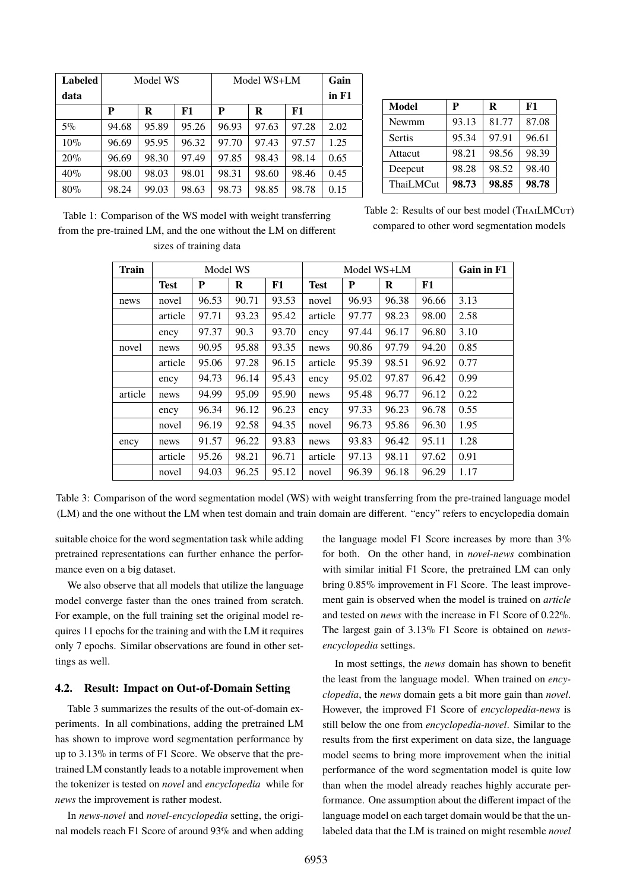<span id="page-6-0"></span>

| <b>Labeled</b> | Model WS |       |       | Model WS+LM |       |       | Gain  |
|----------------|----------|-------|-------|-------------|-------|-------|-------|
| data           |          |       |       |             |       |       | in F1 |
|                | P        | R     | F1    | P           | R     | F1    |       |
| $5\%$          | 94.68    | 95.89 | 95.26 | 96.93       | 97.63 | 97.28 | 2.02  |
| $10\%$         | 96.69    | 95.95 | 96.32 | 97.70       | 97.43 | 97.57 | 1.25  |
| 20%            | 96.69    | 98.30 | 97.49 | 97.85       | 98.43 | 98.14 | 0.65  |
| 40%            | 98.00    | 98.03 | 98.01 | 98.31       | 98.60 | 98.46 | 0.45  |
| 80%            | 98.24    | 99.03 | 98.63 | 98.73       | 98.85 | 98.78 | 0.15  |

| <b>Model</b>     | Р     | R     | F1    |  |
|------------------|-------|-------|-------|--|
| Newmm            | 93.13 | 81.77 | 87.08 |  |
| <b>Sertis</b>    | 95.34 | 97.91 | 96.61 |  |
| Attacut          | 98.21 | 98.56 | 98.39 |  |
| Deepcut          | 98.28 | 98.52 | 98.40 |  |
| <b>ThaiLMCut</b> | 98.73 | 98.85 | 98.78 |  |

<span id="page-6-1"></span>Table 1: Comparison of the WS model with weight transferring from the pre-trained LM, and the one without the LM on different sizes of training data

Table 2: Results of our best model (THAILMCUT) compared to other word segmentation models

| <b>Train</b> | Model WS    |       |       |       | Model WS+LM |       |       |       | Gain in F1 |
|--------------|-------------|-------|-------|-------|-------------|-------|-------|-------|------------|
|              | <b>Test</b> | P     | R     | F1    | <b>Test</b> | P     | R     | F1    |            |
| news         | novel       | 96.53 | 90.71 | 93.53 | novel       | 96.93 | 96.38 | 96.66 | 3.13       |
|              | article     | 97.71 | 93.23 | 95.42 | article     | 97.77 | 98.23 | 98.00 | 2.58       |
|              | ency        | 97.37 | 90.3  | 93.70 | ency        | 97.44 | 96.17 | 96.80 | 3.10       |
| novel        | news        | 90.95 | 95.88 | 93.35 | news        | 90.86 | 97.79 | 94.20 | 0.85       |
|              | article     | 95.06 | 97.28 | 96.15 | article     | 95.39 | 98.51 | 96.92 | 0.77       |
|              | ency        | 94.73 | 96.14 | 95.43 | ency        | 95.02 | 97.87 | 96.42 | 0.99       |
| article      | news        | 94.99 | 95.09 | 95.90 | news        | 95.48 | 96.77 | 96.12 | 0.22       |
|              | ency        | 96.34 | 96.12 | 96.23 | ency        | 97.33 | 96.23 | 96.78 | 0.55       |
|              | novel       | 96.19 | 92.58 | 94.35 | novel       | 96.73 | 95.86 | 96.30 | 1.95       |
| ency         | news        | 91.57 | 96.22 | 93.83 | news        | 93.83 | 96.42 | 95.11 | 1.28       |
|              | article     | 95.26 | 98.21 | 96.71 | article     | 97.13 | 98.11 | 97.62 | 0.91       |
|              | novel       | 94.03 | 96.25 | 95.12 | novel       | 96.39 | 96.18 | 96.29 | 1.17       |

Table 3: Comparison of the word segmentation model (WS) with weight transferring from the pre-trained language model (LM) and the one without the LM when test domain and train domain are different. "ency" refers to encyclopedia domain

suitable choice for the word segmentation task while adding pretrained representations can further enhance the performance even on a big dataset.

We also observe that all models that utilize the language model converge faster than the ones trained from scratch. For example, on the full training set the original model requires 11 epochs for the training and with the LM it requires only 7 epochs. Similar observations are found in other settings as well.

# **4.2. Result: Impact on Out-of-Domain Setting**

Table [3](#page-6-1) summarizes the results of the out-of-domain experiments. In all combinations, adding the pretrained LM has shown to improve word segmentation performance by up to 3.13% in terms of F1 Score. We observe that the pretrained LM constantly leads to a notable improvement when the tokenizer is tested on *novel* and *encyclopedia* while for *news* the improvement is rather modest.

In *news*-*novel* and *novel*-*encyclopedia* setting, the original models reach F1 Score of around 93% and when adding the language model F1 Score increases by more than 3% for both. On the other hand, in *novel*-*news* combination with similar initial F1 Score, the pretrained LM can only bring 0.85% improvement in F1 Score. The least improvement gain is observed when the model is trained on *article* and tested on *news* with the increase in F1 Score of 0.22%. The largest gain of 3.13% F1 Score is obtained on *newsencyclopedia* settings.

In most settings, the *news* domain has shown to benefit the least from the language model. When trained on *encyclopedia*, the *news* domain gets a bit more gain than *novel*. However, the improved F1 Score of *encyclopedia*-*news* is still below the one from *encyclopedia*-*novel*. Similar to the results from the first experiment on data size, the language model seems to bring more improvement when the initial performance of the word segmentation model is quite low than when the model already reaches highly accurate performance. One assumption about the different impact of the language model on each target domain would be that the unlabeled data that the LM is trained on might resemble *novel*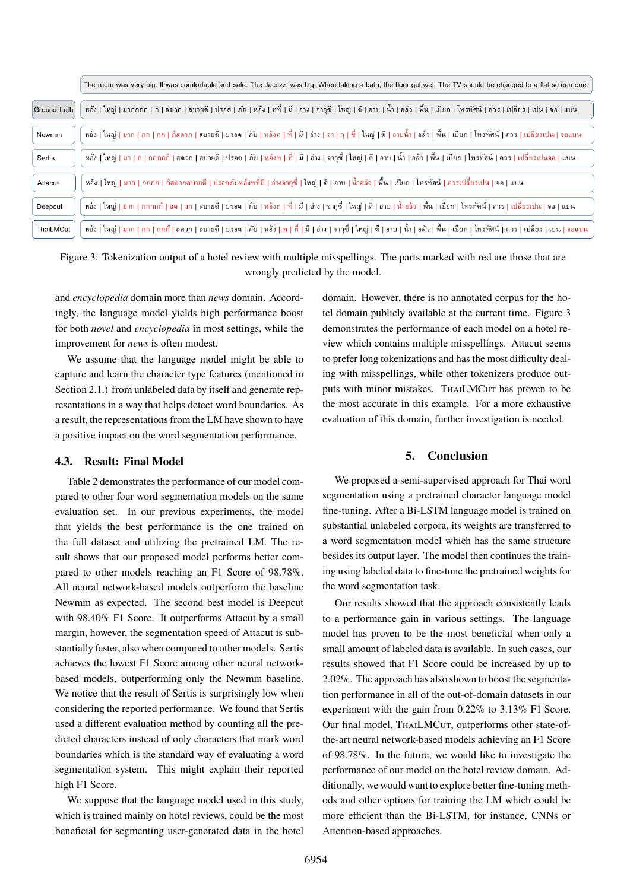<span id="page-7-0"></span>

|              | The room was very big. It was comfortable and safe. The Jacuzzi was big. When taking a bath, the floor got wet. The TV should be changed to a flat screen one.                    |
|--------------|-----------------------------------------------------------------------------------------------------------------------------------------------------------------------------------|
| Ground truth | ทอัง ใหญ่ มากกกก ก้ สดวก สบายดี ปรอด ภัย หอัง ทที่ มี อ่าง จากุซี่ ใหญ่ ดี อาบ น้ำ อล้ว พื้น เปียก โทรทัศน์ ควร เปลี่ยร เปน จอ แบน                                                |
| Newmm        | หอัง   ใหญ่   มาก   กก   กก   กัสดวก   สบายดี   ปรอด   ภัย   หอังท   ที่   มี   จา   จา   จุ   จี่   ใหญ่   ดี   จีน   จีน   เปียก   โทรทัศน์   ควร   เปลี่ยรเปน   จอแบน          |
| Sertis       | หอัง   ใหญ่   มา   ก   กกกกก้   สดวก   สบายดี   ปรอด   ภัย   หอังท   ที่   มี   อ่าง   จากซี่   ใหญ่   ดี   อาบ   น้ำ   อล้ว   พื้น   เปียก   โทรทัศน์   ควร   เปลี่ยรเปนจอ   แบน |
| Attacut      | หอัง   ใหญ่   มาก   กกกก   กัสดวกสบายดี   ปรอดภัยหอังทที่มี   อ่างจากุซี่   ใหญ่   ดี   อาบ   น้ำอลัว   พื้น   เปียก   โทรทัศน์   ควรเปลี่ยรเปน   จอ   แบน                        |
| Deepcut      | หอัง   ใหญ่   มาก   กกกกก้   สด   วก   สบายดี   ปรอด   ภัย   หอังท   ที่   มี   อำง   จากซื้   ใหญ่   ดี   อาบ   น้ำอลัว   พื้น   เปียก   โทรทัศน์   ควร   เปลี่ยรเปน   จอ   แบน  |
| ThaiLMCut    | หอัง ใหญ่ มาก กก กกก้ สดวก สบายดี ปรอด ภัย หอัง ท ที่ มี อ่าง จากุซี่ ใหญ่ ดี อาบ น้ำ อลัว พื้น เปียก โทรทัศน์ ดวร เปลี่ยร เปน จอแบน                                              |

Figure 3: Tokenization output of a hotel review with multiple misspellings. The parts marked with red are those that are wrongly predicted by the model.

and *encyclopedia* domain more than *news* domain. Accordingly, the language model yields high performance boost for both *novel* and *encyclopedia* in most settings, while the improvement for *news* is often modest.

We assume that the language model might be able to capture and learn the character type features (mentioned in Section [2.1.\)](#page-1-0) from unlabeled data by itself and generate representations in a way that helps detect word boundaries. As a result, the representations from the LM have shown to have a positive impact on the word segmentation performance.

## **4.3. Result: Final Model**

Table [2](#page-6-0) demonstrates the performance of our model compared to other four word segmentation models on the same evaluation set. In our previous experiments, the model that yields the best performance is the one trained on the full dataset and utilizing the pretrained LM. The result shows that our proposed model performs better compared to other models reaching an F1 Score of 98.78%. All neural network-based models outperform the baseline Newmm as expected. The second best model is Deepcut with 98.40% F1 Score. It outperforms Attacut by a small margin, however, the segmentation speed of Attacut is substantially faster, also when compared to other models. Sertis achieves the lowest F1 Score among other neural networkbased models, outperforming only the Newmm baseline. We notice that the result of Sertis is surprisingly low when considering the reported performance. We found that Sertis used a different evaluation method by counting all the predicted characters instead of only characters that mark word boundaries which is the standard way of evaluating a word segmentation system. This might explain their reported high F1 Score.

We suppose that the language model used in this study, which is trained mainly on hotel reviews, could be the most beneficial for segmenting user-generated data in the hotel domain. However, there is no annotated corpus for the hotel domain publicly available at the current time. Figure [3](#page-7-0) demonstrates the performance of each model on a hotel review which contains multiple misspellings. Attacut seems to prefer long tokenizations and has the most difficulty dealing with misspellings, while other tokenizers produce outputs with minor mistakes. THAILMCUT has proven to be the most accurate in this example. For a more exhaustive evaluation of this domain, further investigation is needed.

# **5. Conclusion**

We proposed a semi-supervised approach for Thai word segmentation using a pretrained character language model fine-tuning. After a Bi-LSTM language model is trained on substantial unlabeled corpora, its weights are transferred to a word segmentation model which has the same structure besides its output layer. The model then continues the training using labeled data to fine-tune the pretrained weights for the word segmentation task.

Our results showed that the approach consistently leads to a performance gain in various settings. The language model has proven to be the most beneficial when only a small amount of labeled data is available. In such cases, our results showed that F1 Score could be increased by up to 2.02%. The approach has also shown to boost the segmentation performance in all of the out-of-domain datasets in our experiment with the gain from 0.22% to 3.13% F1 Score. Our final model, THAILMCUT, outperforms other state-ofthe-art neural network-based models achieving an F1 Score of 98.78%. In the future, we would like to investigate the performance of our model on the hotel review domain. Additionally, we would want to explore better fine-tuning methods and other options for training the LM which could be more efficient than the Bi-LSTM, for instance, CNNs or Attention-based approaches.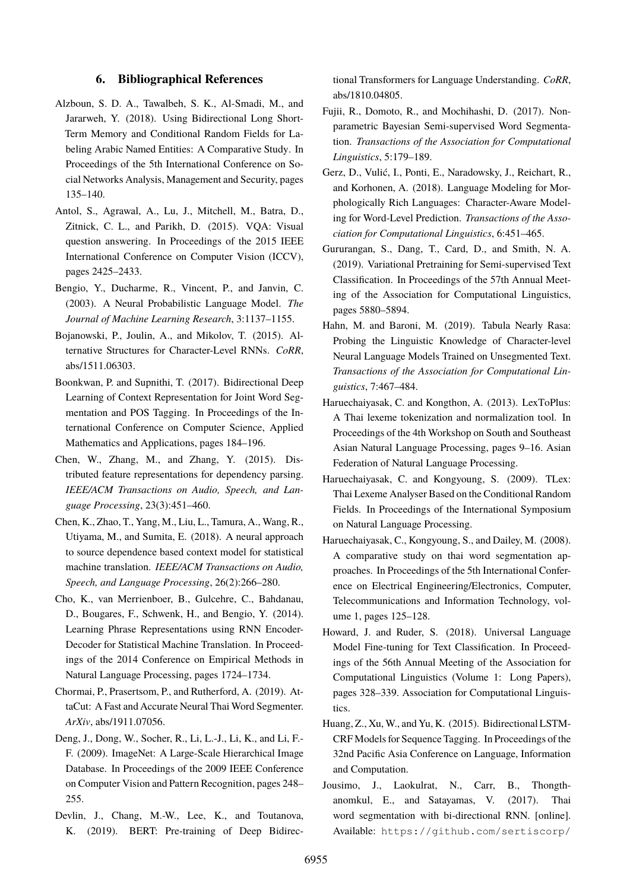# **6. Bibliographical References**

- Alzboun, S. D. A., Tawalbeh, S. K., Al-Smadi, M., and Jararweh, Y. (2018). Using Bidirectional Long Short-Term Memory and Conditional Random Fields for Labeling Arabic Named Entities: A Comparative Study. In Proceedings of the 5th International Conference on Social Networks Analysis, Management and Security, pages 135–140.
- Antol, S., Agrawal, A., Lu, J., Mitchell, M., Batra, D., Zitnick, C. L., and Parikh, D. (2015). VQA: Visual question answering. In Proceedings of the 2015 IEEE International Conference on Computer Vision (ICCV), pages 2425–2433.
- Bengio, Y., Ducharme, R., Vincent, P., and Janvin, C. (2003). A Neural Probabilistic Language Model. *The Journal of Machine Learning Research*, 3:1137–1155.
- Bojanowski, P., Joulin, A., and Mikolov, T. (2015). Alternative Structures for Character-Level RNNs. *CoRR*, abs/1511.06303.
- Boonkwan, P. and Supnithi, T. (2017). Bidirectional Deep Learning of Context Representation for Joint Word Segmentation and POS Tagging. In Proceedings of the International Conference on Computer Science, Applied Mathematics and Applications, pages 184–196.
- Chen, W., Zhang, M., and Zhang, Y. (2015). Distributed feature representations for dependency parsing. *IEEE/ACM Transactions on Audio, Speech, and Language Processing*, 23(3):451–460.
- Chen, K., Zhao, T., Yang, M., Liu, L., Tamura, A., Wang, R., Utiyama, M., and Sumita, E. (2018). A neural approach to source dependence based context model for statistical machine translation. *IEEE/ACM Transactions on Audio, Speech, and Language Processing*, 26(2):266–280.
- Cho, K., van Merrienboer, B., Gulcehre, C., Bahdanau, D., Bougares, F., Schwenk, H., and Bengio, Y. (2014). Learning Phrase Representations using RNN Encoder-Decoder for Statistical Machine Translation. In Proceedings of the 2014 Conference on Empirical Methods in Natural Language Processing, pages 1724–1734.
- Chormai, P., Prasertsom, P., and Rutherford, A. (2019). AttaCut: A Fast and Accurate Neural Thai Word Segmenter. *ArXiv*, abs/1911.07056.
- Deng, J., Dong, W., Socher, R., Li, L.-J., Li, K., and Li, F.- F. (2009). ImageNet: A Large-Scale Hierarchical Image Database. In Proceedings of the 2009 IEEE Conference on Computer Vision and Pattern Recognition, pages 248– 255.
- Devlin, J., Chang, M.-W., Lee, K., and Toutanova, K. (2019). BERT: Pre-training of Deep Bidirec-

tional Transformers for Language Understanding. *CoRR*, abs/1810.04805.

- Fujii, R., Domoto, R., and Mochihashi, D. (2017). Nonparametric Bayesian Semi-supervised Word Segmentation. *Transactions of the Association for Computational Linguistics*, 5:179–189.
- Gerz, D., Vulić, I., Ponti, E., Naradowsky, J., Reichart, R., and Korhonen, A. (2018). Language Modeling for Morphologically Rich Languages: Character-Aware Modeling for Word-Level Prediction. *Transactions of the Association for Computational Linguistics*, 6:451–465.
- Gururangan, S., Dang, T., Card, D., and Smith, N. A. (2019). Variational Pretraining for Semi-supervised Text Classification. In Proceedings of the 57th Annual Meeting of the Association for Computational Linguistics, pages 5880–5894.
- Hahn, M. and Baroni, M. (2019). Tabula Nearly Rasa: Probing the Linguistic Knowledge of Character-level Neural Language Models Trained on Unsegmented Text. *Transactions of the Association for Computational Linguistics*, 7:467–484.
- Haruechaiyasak, C. and Kongthon, A. (2013). LexToPlus: A Thai lexeme tokenization and normalization tool. In Proceedings of the 4th Workshop on South and Southeast Asian Natural Language Processing, pages 9–16. Asian Federation of Natural Language Processing.
- Haruechaiyasak, C. and Kongyoung, S. (2009). TLex: Thai Lexeme Analyser Based on the Conditional Random Fields. In Proceedings of the International Symposium on Natural Language Processing.
- Haruechaiyasak, C., Kongyoung, S., and Dailey, M. (2008). A comparative study on thai word segmentation approaches. In Proceedings of the 5th International Conference on Electrical Engineering/Electronics, Computer, Telecommunications and Information Technology, volume 1, pages 125–128.
- Howard, J. and Ruder, S. (2018). Universal Language Model Fine-tuning for Text Classification. In Proceedings of the 56th Annual Meeting of the Association for Computational Linguistics (Volume 1: Long Papers), pages 328–339. Association for Computational Linguistics.
- Huang, Z., Xu, W., and Yu, K. (2015). Bidirectional LSTM-CRF Models for Sequence Tagging. In Proceedings of the 32nd Pacific Asia Conference on Language, Information and Computation.
- Jousimo, J., Laokulrat, N., Carr, B., Thongthanomkul, E., and Satayamas, V. (2017). Thai word segmentation with bi-directional RNN. [online]. Available: [https://github.com/sertiscorp/](https://github.com/sertiscorp/thai-word-segmentation)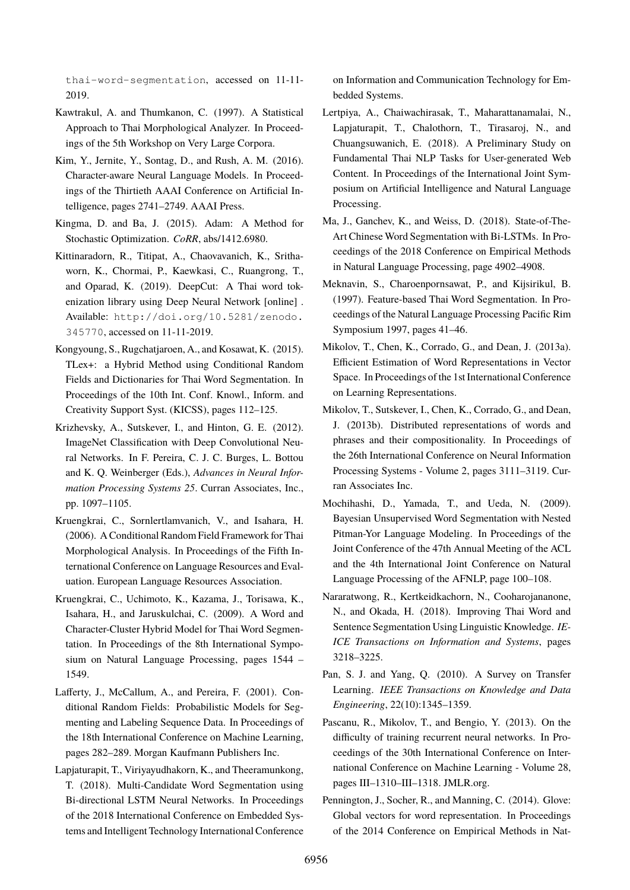[thai-word-segmentation](https://github.com/sertiscorp/thai-word-segmentation), accessed on 11-11- 2019.

- Kawtrakul, A. and Thumkanon, C. (1997). A Statistical Approach to Thai Morphological Analyzer. In Proceedings of the 5th Workshop on Very Large Corpora.
- Kim, Y., Jernite, Y., Sontag, D., and Rush, A. M. (2016). Character-aware Neural Language Models. In Proceedings of the Thirtieth AAAI Conference on Artificial Intelligence, pages 2741–2749. AAAI Press.
- Kingma, D. and Ba, J. (2015). Adam: A Method for Stochastic Optimization. *CoRR*, abs/1412.6980.
- Kittinaradorn, R., Titipat, A., Chaovavanich, K., Srithaworn, K., Chormai, P., Kaewkasi, C., Ruangrong, T., and Oparad, K. (2019). DeepCut: A Thai word tokenization library using Deep Neural Network [online] . Available: [http://doi.org/10.5281/zenodo.](http://doi.org/10.5281/zenodo.345770) [345770](http://doi.org/10.5281/zenodo.345770), accessed on 11-11-2019.
- Kongyoung, S., Rugchatjaroen, A., and Kosawat, K. (2015). TLex+: a Hybrid Method using Conditional Random Fields and Dictionaries for Thai Word Segmentation. In Proceedings of the 10th Int. Conf. Knowl., Inform. and Creativity Support Syst. (KICSS), pages 112–125.
- Krizhevsky, A., Sutskever, I., and Hinton, G. E. (2012). ImageNet Classification with Deep Convolutional Neural Networks. In F. Pereira, C. J. C. Burges, L. Bottou and K. Q. Weinberger (Eds.), *Advances in Neural Information Processing Systems 25*. Curran Associates, Inc., pp. 1097–1105.
- Kruengkrai, C., Sornlertlamvanich, V., and Isahara, H. (2006). A Conditional Random Field Framework for Thai Morphological Analysis. In Proceedings of the Fifth International Conference on Language Resources and Evaluation. European Language Resources Association.
- Kruengkrai, C., Uchimoto, K., Kazama, J., Torisawa, K., Isahara, H., and Jaruskulchai, C. (2009). A Word and Character-Cluster Hybrid Model for Thai Word Segmentation. In Proceedings of the 8th International Symposium on Natural Language Processing, pages 1544 – 1549.
- Lafferty, J., McCallum, A., and Pereira, F. (2001). Conditional Random Fields: Probabilistic Models for Segmenting and Labeling Sequence Data. In Proceedings of the 18th International Conference on Machine Learning, pages 282–289. Morgan Kaufmann Publishers Inc.
- Lapjaturapit, T., Viriyayudhakorn, K., and Theeramunkong, T. (2018). Multi-Candidate Word Segmentation using Bi-directional LSTM Neural Networks. In Proceedings of the 2018 International Conference on Embedded Systems and Intelligent Technology International Conference

on Information and Communication Technology for Embedded Systems.

- Lertpiya, A., Chaiwachirasak, T., Maharattanamalai, N., Lapjaturapit, T., Chalothorn, T., Tirasaroj, N., and Chuangsuwanich, E. (2018). A Preliminary Study on Fundamental Thai NLP Tasks for User-generated Web Content. In Proceedings of the International Joint Symposium on Artificial Intelligence and Natural Language Processing.
- Ma, J., Ganchev, K., and Weiss, D. (2018). State-of-The-Art Chinese Word Segmentation with Bi-LSTMs. In Proceedings of the 2018 Conference on Empirical Methods in Natural Language Processing, page 4902–4908.
- Meknavin, S., Charoenpornsawat, P., and Kijsirikul, B. (1997). Feature-based Thai Word Segmentation. In Proceedings of the Natural Language Processing Pacific Rim Symposium 1997, pages 41–46.
- Mikolov, T., Chen, K., Corrado, G., and Dean, J. (2013a). Efficient Estimation of Word Representations in Vector Space. In Proceedings of the 1st International Conference on Learning Representations.
- Mikolov, T., Sutskever, I., Chen, K., Corrado, G., and Dean, J. (2013b). Distributed representations of words and phrases and their compositionality. In Proceedings of the 26th International Conference on Neural Information Processing Systems - Volume 2, pages 3111–3119. Curran Associates Inc.
- Mochihashi, D., Yamada, T., and Ueda, N. (2009). Bayesian Unsupervised Word Segmentation with Nested Pitman-Yor Language Modeling. In Proceedings of the Joint Conference of the 47th Annual Meeting of the ACL and the 4th International Joint Conference on Natural Language Processing of the AFNLP, page 100–108.
- Nararatwong, R., Kertkeidkachorn, N., Cooharojananone, N., and Okada, H. (2018). Improving Thai Word and Sentence Segmentation Using Linguistic Knowledge. *IE-ICE Transactions on Information and Systems*, pages 3218–3225.
- Pan, S. J. and Yang, Q. (2010). A Survey on Transfer Learning. *IEEE Transactions on Knowledge and Data Engineering*, 22(10):1345–1359.
- Pascanu, R., Mikolov, T., and Bengio, Y. (2013). On the difficulty of training recurrent neural networks. In Proceedings of the 30th International Conference on International Conference on Machine Learning - Volume 28, pages III–1310–III–1318. JMLR.org.
- Pennington, J., Socher, R., and Manning, C. (2014). Glove: Global vectors for word representation. In Proceedings of the 2014 Conference on Empirical Methods in Nat-